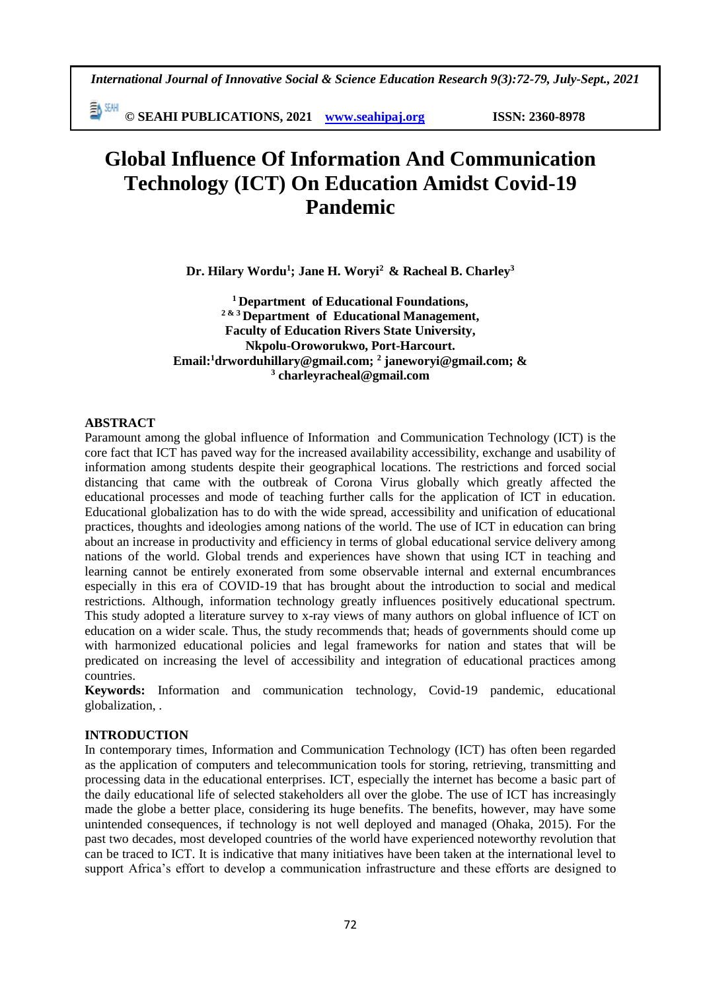*International Journal of Innovative Social & Science Education Research 9(3):72-79, July-Sept., 2021*

**© SEAHI PUBLICATIONS, 2021 [www.seahipaj.org](http://www.seahipaj.org/) ISSN: 2360-8978**

# **Global Influence Of Information And Communication Technology (ICT) On Education Amidst Covid-19 Pandemic**

**Dr. Hilary Wordu<sup>1</sup> ; Jane H. Woryi<sup>2</sup> & Racheal B. Charley<sup>3</sup>**

**<sup>1</sup>Department of Educational Foundations, 2 & <sup>3</sup>Department of Educational Management, Faculty of Education Rivers State University, Nkpolu-Oroworukwo, Port-Harcourt. Email:<sup>1</sup>drworduhillary@gmail.com; <sup>2</sup> janeworyi@gmail.com; & 3 charleyracheal@gmail.com**

## **ABSTRACT**

Paramount among the global influence of Information and Communication Technology (ICT) is the core fact that ICT has paved way for the increased availability accessibility, exchange and usability of information among students despite their geographical locations. The restrictions and forced social distancing that came with the outbreak of Corona Virus globally which greatly affected the educational processes and mode of teaching further calls for the application of ICT in education. Educational globalization has to do with the wide spread, accessibility and unification of educational practices, thoughts and ideologies among nations of the world. The use of ICT in education can bring about an increase in productivity and efficiency in terms of global educational service delivery among nations of the world. Global trends and experiences have shown that using ICT in teaching and learning cannot be entirely exonerated from some observable internal and external encumbrances especially in this era of COVID-19 that has brought about the introduction to social and medical restrictions. Although, information technology greatly influences positively educational spectrum. This study adopted a literature survey to x-ray views of many authors on global influence of ICT on education on a wider scale. Thus, the study recommends that; heads of governments should come up with harmonized educational policies and legal frameworks for nation and states that will be predicated on increasing the level of accessibility and integration of educational practices among countries.

**Keywords:** Information and communication technology, Covid-19 pandemic, educational globalization, .

#### **INTRODUCTION**

In contemporary times, Information and Communication Technology (ICT) has often been regarded as the application of computers and telecommunication tools for storing, retrieving, transmitting and processing data in the educational enterprises. ICT, especially the internet has become a basic part of the daily educational life of selected stakeholders all over the globe. The use of ICT has increasingly made the globe a better place, considering its huge benefits. The benefits, however, may have some unintended consequences, if technology is not well deployed and managed (Ohaka, 2015). For the past two decades, most developed countries of the world have experienced noteworthy revolution that can be traced to ICT. It is indicative that many initiatives have been taken at the international level to support Africa's effort to develop a communication infrastructure and these efforts are designed to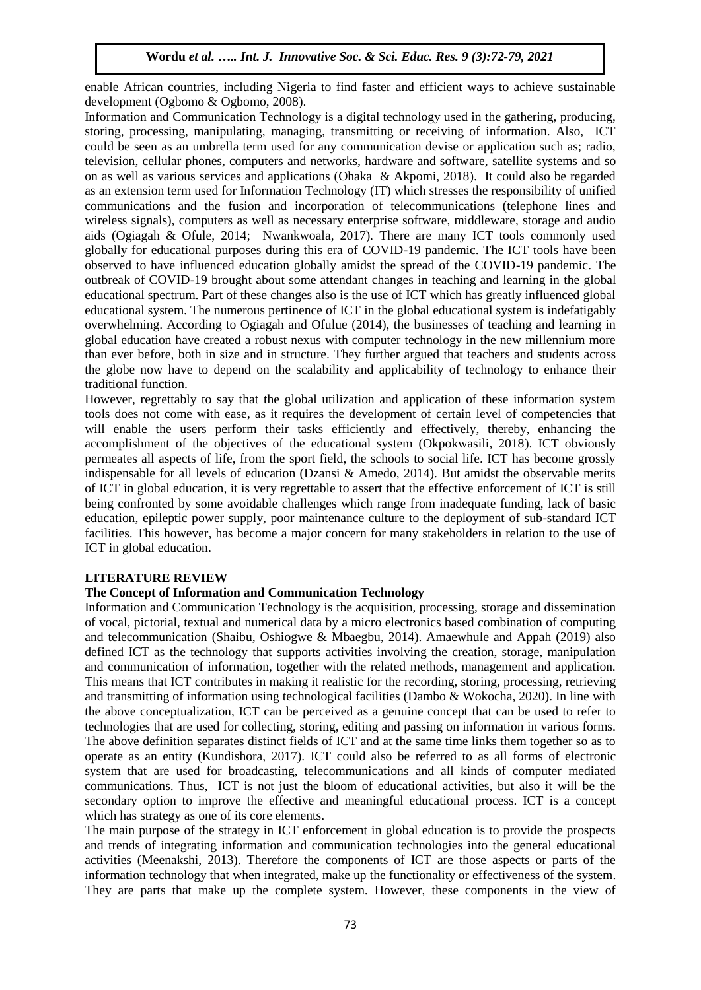enable African countries, including Nigeria to find faster and efficient ways to achieve sustainable development (Ogbomo & Ogbomo, 2008).

Information and Communication Technology is a digital technology used in the gathering, producing, storing, processing, manipulating, managing, transmitting or receiving of information. Also, ICT could be seen as an umbrella term used for any communication devise or application such as; radio, television, cellular phones, computers and networks, hardware and software, satellite systems and so on as well as various services and applications (Ohaka & Akpomi, 2018). It could also be regarded as an extension term used for Information Technology (IT) which stresses the responsibility of unified communications and the fusion and incorporation of telecommunications (telephone lines and wireless signals), computers as well as necessary enterprise software, middleware, storage and audio aids (Ogiagah & Ofule, 2014; Nwankwoala, 2017). There are many ICT tools commonly used globally for educational purposes during this era of COVID-19 pandemic. The ICT tools have been observed to have influenced education globally amidst the spread of the COVID-19 pandemic. The outbreak of COVID-19 brought about some attendant changes in teaching and learning in the global educational spectrum. Part of these changes also is the use of ICT which has greatly influenced global educational system. The numerous pertinence of ICT in the global educational system is indefatigably overwhelming. According to Ogiagah and Ofulue (2014), the businesses of teaching and learning in global education have created a robust nexus with computer technology in the new millennium more than ever before, both in size and in structure. They further argued that teachers and students across the globe now have to depend on the scalability and applicability of technology to enhance their traditional function.

However, regrettably to say that the global utilization and application of these information system tools does not come with ease, as it requires the development of certain level of competencies that will enable the users perform their tasks efficiently and effectively, thereby, enhancing the accomplishment of the objectives of the educational system (Okpokwasili, 2018). ICT obviously permeates all aspects of life, from the sport field, the schools to social life. ICT has become grossly indispensable for all levels of education (Dzansi  $\&$  Amedo, 2014). But amidst the observable merits of ICT in global education, it is very regrettable to assert that the effective enforcement of ICT is still being confronted by some avoidable challenges which range from inadequate funding, lack of basic education, epileptic power supply, poor maintenance culture to the deployment of sub-standard ICT facilities. This however, has become a major concern for many stakeholders in relation to the use of ICT in global education.

# **LITERATURE REVIEW**

#### **The Concept of Information and Communication Technology**

Information and Communication Technology is the acquisition, processing, storage and dissemination of vocal, pictorial, textual and numerical data by a micro electronics based combination of computing and telecommunication (Shaibu, Oshiogwe & Mbaegbu, 2014). Amaewhule and Appah (2019) also defined ICT as the technology that supports activities involving the creation, storage, manipulation and communication of information, together with the related methods, management and application. This means that ICT contributes in making it realistic for the recording, storing, processing, retrieving and transmitting of information using technological facilities (Dambo & Wokocha, 2020). In line with the above conceptualization, ICT can be perceived as a genuine concept that can be used to refer to technologies that are used for collecting, storing, editing and passing on information in various forms. The above definition separates distinct fields of ICT and at the same time links them together so as to operate as an entity (Kundishora, 2017). ICT could also be referred to as all forms of electronic system that are used for broadcasting, telecommunications and all kinds of computer mediated communications. Thus, ICT is not just the bloom of educational activities, but also it will be the secondary option to improve the effective and meaningful educational process. ICT is a concept which has strategy as one of its core elements.

The main purpose of the strategy in ICT enforcement in global education is to provide the prospects and trends of integrating information and communication technologies into the general educational activities (Meenakshi, 2013). Therefore the components of ICT are those aspects or parts of the information technology that when integrated, make up the functionality or effectiveness of the system. They are parts that make up the complete system. However, these components in the view of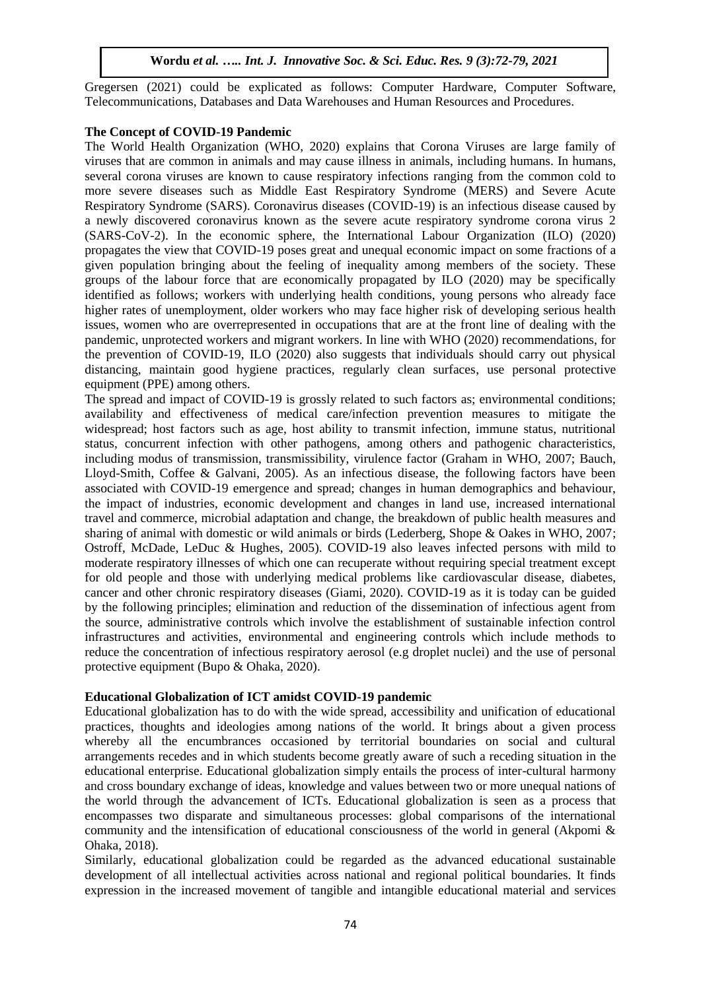Gregersen (2021) could be explicated as follows: Computer Hardware, Computer Software, Telecommunications, Databases and Data Warehouses and Human Resources and Procedures.

#### **The Concept of COVID-19 Pandemic**

The World Health Organization (WHO, 2020) explains that Corona Viruses are large family of viruses that are common in animals and may cause illness in animals, including humans. In humans, several corona viruses are known to cause respiratory infections ranging from the common cold to more severe diseases such as Middle East Respiratory Syndrome (MERS) and Severe Acute Respiratory Syndrome (SARS). Coronavirus diseases (COVID-19) is an infectious disease caused by a newly discovered coronavirus known as the severe acute respiratory syndrome corona virus 2 (SARS-CoV-2). In the economic sphere, the International Labour Organization (ILO) (2020) propagates the view that COVID-19 poses great and unequal economic impact on some fractions of a given population bringing about the feeling of inequality among members of the society. These groups of the labour force that are economically propagated by ILO (2020) may be specifically identified as follows; workers with underlying health conditions, young persons who already face higher rates of unemployment, older workers who may face higher risk of developing serious health issues, women who are overrepresented in occupations that are at the front line of dealing with the pandemic, unprotected workers and migrant workers. In line with WHO (2020) recommendations, for the prevention of COVID-19, ILO (2020) also suggests that individuals should carry out physical distancing, maintain good hygiene practices, regularly clean surfaces, use personal protective equipment (PPE) among others.

The spread and impact of COVID-19 is grossly related to such factors as; environmental conditions; availability and effectiveness of medical care/infection prevention measures to mitigate the widespread; host factors such as age, host ability to transmit infection, immune status, nutritional status, concurrent infection with other pathogens, among others and pathogenic characteristics, including modus of transmission, transmissibility, virulence factor (Graham in WHO, 2007; Bauch, Lloyd-Smith, Coffee & Galvani, 2005). As an infectious disease, the following factors have been associated with COVID-19 emergence and spread; changes in human demographics and behaviour, the impact of industries, economic development and changes in land use, increased international travel and commerce, microbial adaptation and change, the breakdown of public health measures and sharing of animal with domestic or wild animals or birds (Lederberg, Shope & Oakes in WHO, 2007; Ostroff, McDade, LeDuc & Hughes, 2005). COVID-19 also leaves infected persons with mild to moderate respiratory illnesses of which one can recuperate without requiring special treatment except for old people and those with underlying medical problems like cardiovascular disease, diabetes, cancer and other chronic respiratory diseases (Giami, 2020). COVID-19 as it is today can be guided by the following principles; elimination and reduction of the dissemination of infectious agent from the source, administrative controls which involve the establishment of sustainable infection control infrastructures and activities, environmental and engineering controls which include methods to reduce the concentration of infectious respiratory aerosol (e.g droplet nuclei) and the use of personal protective equipment (Bupo & Ohaka, 2020).

#### **Educational Globalization of ICT amidst COVID-19 pandemic**

Educational globalization has to do with the wide spread, accessibility and unification of educational practices, thoughts and ideologies among nations of the world. It brings about a given process whereby all the encumbrances occasioned by territorial boundaries on social and cultural arrangements recedes and in which students become greatly aware of such a receding situation in the educational enterprise. Educational globalization simply entails the process of inter-cultural harmony and cross boundary exchange of ideas, knowledge and values between two or more unequal nations of the world through the advancement of ICTs. Educational globalization is seen as a process that encompasses two disparate and simultaneous processes: global comparisons of the international community and the intensification of educational consciousness of the world in general (Akpomi & Ohaka, 2018).

Similarly, educational globalization could be regarded as the advanced educational sustainable development of all intellectual activities across national and regional political boundaries. It finds expression in the increased movement of tangible and intangible educational material and services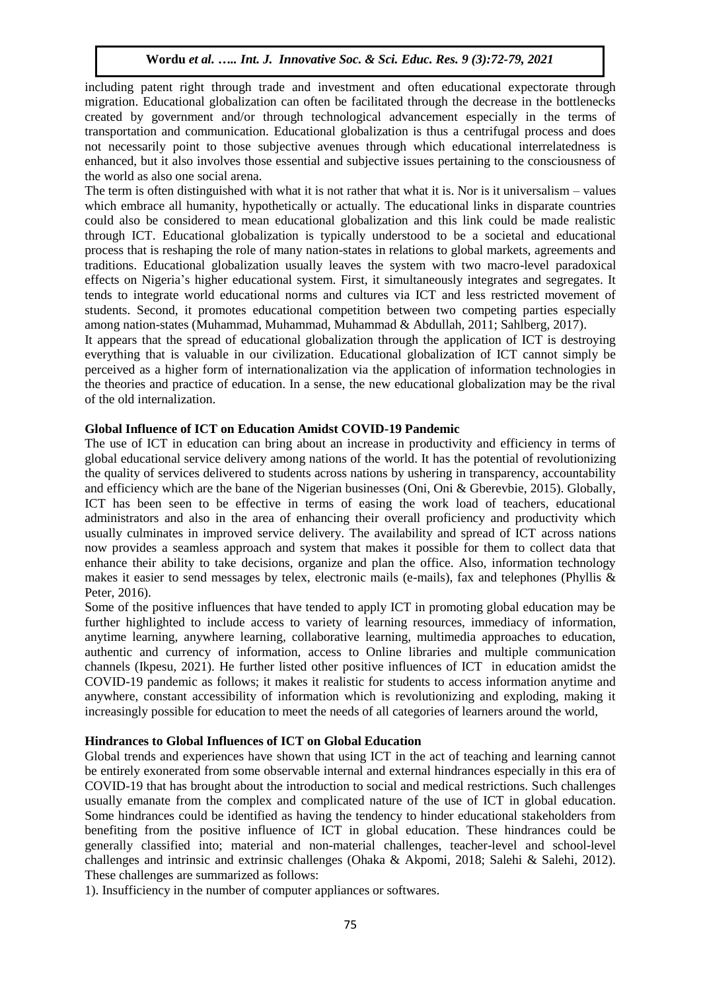including patent right through trade and investment and often educational expectorate through migration. Educational globalization can often be facilitated through the decrease in the bottlenecks created by government and/or through technological advancement especially in the terms of transportation and communication. Educational globalization is thus a centrifugal process and does not necessarily point to those subjective avenues through which educational interrelatedness is enhanced, but it also involves those essential and subjective issues pertaining to the consciousness of the world as also one social arena.

The term is often distinguished with what it is not rather that what it is. Nor is it universalism – values which embrace all humanity, hypothetically or actually. The educational links in disparate countries could also be considered to mean educational globalization and this link could be made realistic through ICT. Educational globalization is typically understood to be a societal and educational process that is reshaping the role of many nation-states in relations to global markets, agreements and traditions. Educational globalization usually leaves the system with two macro-level paradoxical effects on Nigeria's higher educational system. First, it simultaneously integrates and segregates. It tends to integrate world educational norms and cultures via ICT and less restricted movement of students. Second, it promotes educational competition between two competing parties especially among nation-states (Muhammad, Muhammad, Muhammad & Abdullah, 2011; Sahlberg, 2017).

It appears that the spread of educational globalization through the application of ICT is destroying everything that is valuable in our civilization. Educational globalization of ICT cannot simply be perceived as a higher form of internationalization via the application of information technologies in the theories and practice of education. In a sense, the new educational globalization may be the rival of the old internalization.

#### **Global Influence of ICT on Education Amidst COVID-19 Pandemic**

The use of ICT in education can bring about an increase in productivity and efficiency in terms of global educational service delivery among nations of the world. It has the potential of revolutionizing the quality of services delivered to students across nations by ushering in transparency, accountability and efficiency which are the bane of the Nigerian businesses (Oni, Oni & Gberevbie, 2015). Globally, ICT has been seen to be effective in terms of easing the work load of teachers, educational administrators and also in the area of enhancing their overall proficiency and productivity which usually culminates in improved service delivery. The availability and spread of ICT across nations now provides a seamless approach and system that makes it possible for them to collect data that enhance their ability to take decisions, organize and plan the office. Also, information technology makes it easier to send messages by telex, electronic mails (e-mails), fax and telephones (Phyllis & Peter, 2016).

Some of the positive influences that have tended to apply ICT in promoting global education may be further highlighted to include access to variety of learning resources, immediacy of information, anytime learning, anywhere learning, collaborative learning, multimedia approaches to education, authentic and currency of information, access to Online libraries and multiple communication channels (Ikpesu, 2021). He further listed other positive influences of ICT in education amidst the COVID-19 pandemic as follows; it makes it realistic for students to access information anytime and anywhere, constant accessibility of information which is revolutionizing and exploding, making it increasingly possible for education to meet the needs of all categories of learners around the world,

## **Hindrances to Global Influences of ICT on Global Education**

Global trends and experiences have shown that using ICT in the act of teaching and learning cannot be entirely exonerated from some observable internal and external hindrances especially in this era of COVID-19 that has brought about the introduction to social and medical restrictions. Such challenges usually emanate from the complex and complicated nature of the use of ICT in global education. Some hindrances could be identified as having the tendency to hinder educational stakeholders from benefiting from the positive influence of ICT in global education. These hindrances could be generally classified into; material and non-material challenges, teacher-level and school-level challenges and intrinsic and extrinsic challenges (Ohaka & Akpomi, 2018; Salehi & Salehi, 2012). These challenges are summarized as follows:

1). Insufficiency in the number of computer appliances or softwares.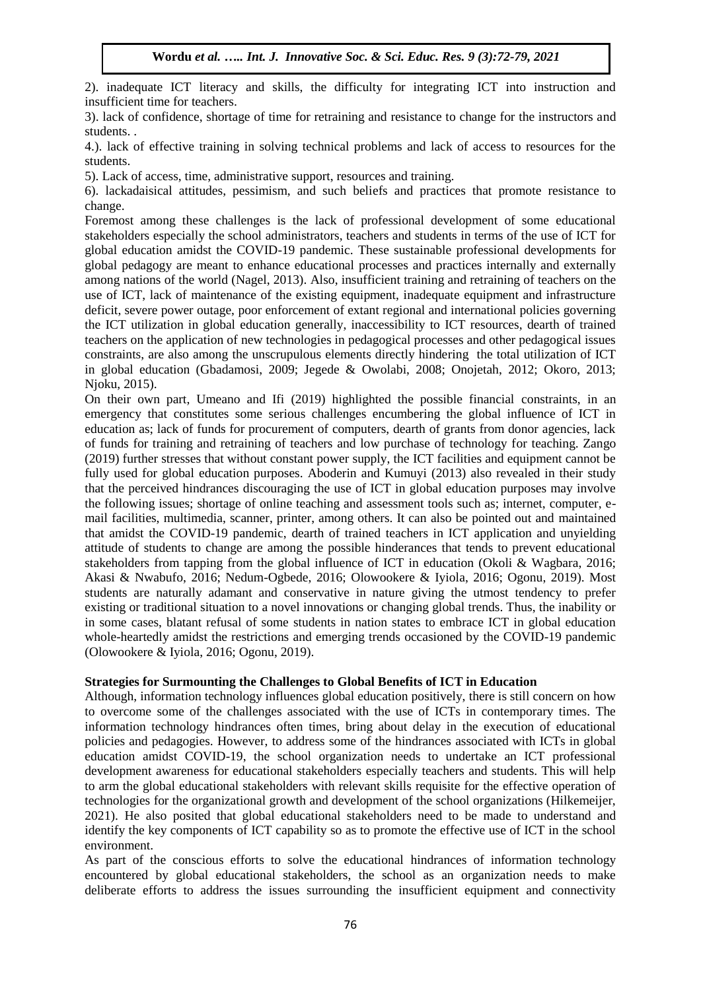2). inadequate ICT literacy and skills, the difficulty for integrating ICT into instruction and insufficient time for teachers.

3). lack of confidence, shortage of time for retraining and resistance to change for the instructors and students. .

4.). lack of effective training in solving technical problems and lack of access to resources for the students.

5). Lack of access, time, administrative support, resources and training.

6). lackadaisical attitudes, pessimism, and such beliefs and practices that promote resistance to change.

Foremost among these challenges is the lack of professional development of some educational stakeholders especially the school administrators, teachers and students in terms of the use of ICT for global education amidst the COVID-19 pandemic. These sustainable professional developments for global pedagogy are meant to enhance educational processes and practices internally and externally among nations of the world (Nagel, 2013). Also, insufficient training and retraining of teachers on the use of ICT, lack of maintenance of the existing equipment, inadequate equipment and infrastructure deficit, severe power outage, poor enforcement of extant regional and international policies governing the ICT utilization in global education generally, inaccessibility to ICT resources, dearth of trained teachers on the application of new technologies in pedagogical processes and other pedagogical issues constraints, are also among the unscrupulous elements directly hindering the total utilization of ICT in global education (Gbadamosi, 2009; Jegede & Owolabi, 2008; Onojetah, 2012; Okoro, 2013; Njoku, 2015).

On their own part, Umeano and Ifi (2019) highlighted the possible financial constraints, in an emergency that constitutes some serious challenges encumbering the global influence of ICT in education as; lack of funds for procurement of computers, dearth of grants from donor agencies, lack of funds for training and retraining of teachers and low purchase of technology for teaching. Zango (2019) further stresses that without constant power supply, the ICT facilities and equipment cannot be fully used for global education purposes. Aboderin and Kumuyi (2013) also revealed in their study that the perceived hindrances discouraging the use of ICT in global education purposes may involve the following issues; shortage of online teaching and assessment tools such as; internet, computer, email facilities, multimedia, scanner, printer, among others. It can also be pointed out and maintained that amidst the COVID-19 pandemic, dearth of trained teachers in ICT application and unyielding attitude of students to change are among the possible hinderances that tends to prevent educational stakeholders from tapping from the global influence of ICT in education (Okoli & Wagbara, 2016; Akasi & Nwabufo, 2016; Nedum-Ogbede, 2016; Olowookere & Iyiola, 2016; Ogonu, 2019). Most students are naturally adamant and conservative in nature giving the utmost tendency to prefer existing or traditional situation to a novel innovations or changing global trends. Thus, the inability or in some cases, blatant refusal of some students in nation states to embrace ICT in global education whole-heartedly amidst the restrictions and emerging trends occasioned by the COVID-19 pandemic (Olowookere & Iyiola, 2016; Ogonu, 2019).

# **Strategies for Surmounting the Challenges to Global Benefits of ICT in Education**

Although, information technology influences global education positively, there is still concern on how to overcome some of the challenges associated with the use of ICTs in contemporary times. The information technology hindrances often times, bring about delay in the execution of educational policies and pedagogies. However, to address some of the hindrances associated with ICTs in global education amidst COVID-19, the school organization needs to undertake an ICT professional development awareness for educational stakeholders especially teachers and students. This will help to arm the global educational stakeholders with relevant skills requisite for the effective operation of technologies for the organizational growth and development of the school organizations (Hilkemeijer, 2021). He also posited that global educational stakeholders need to be made to understand and identify the key components of ICT capability so as to promote the effective use of ICT in the school environment.

As part of the conscious efforts to solve the educational hindrances of information technology encountered by global educational stakeholders, the school as an organization needs to make deliberate efforts to address the issues surrounding the insufficient equipment and connectivity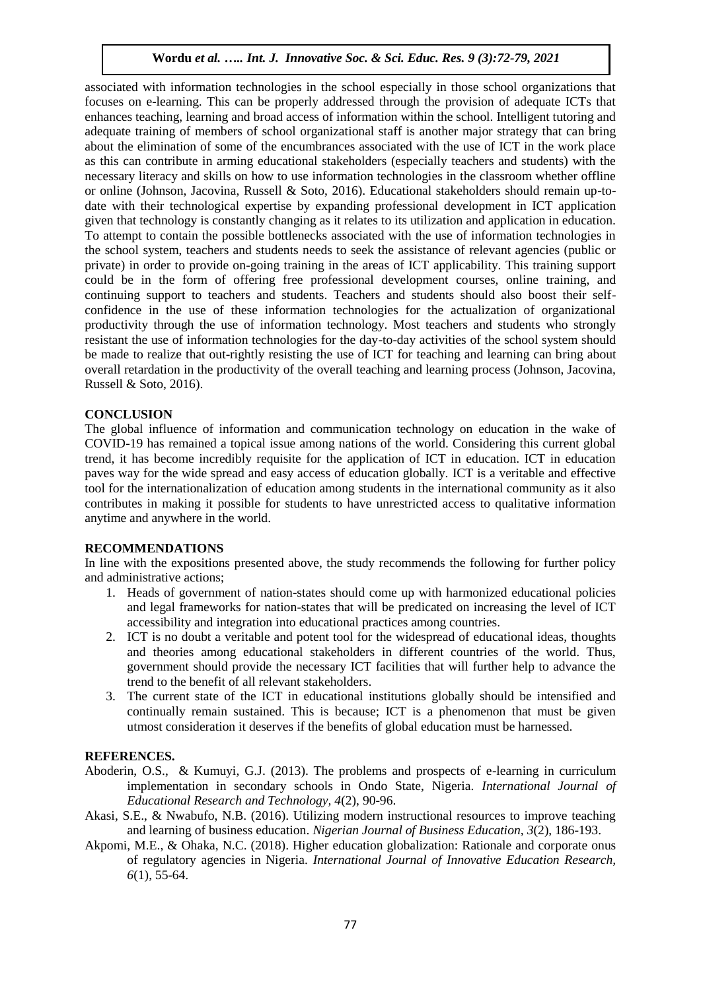associated with information technologies in the school especially in those school organizations that focuses on e-learning. This can be properly addressed through the provision of adequate ICTs that enhances teaching, learning and broad access of information within the school. Intelligent tutoring and adequate training of members of school organizational staff is another major strategy that can bring about the elimination of some of the encumbrances associated with the use of ICT in the work place as this can contribute in arming educational stakeholders (especially teachers and students) with the necessary literacy and skills on how to use information technologies in the classroom whether offline or online (Johnson, Jacovina, Russell & Soto, 2016). Educational stakeholders should remain up-todate with their technological expertise by expanding professional development in ICT application given that technology is constantly changing as it relates to its utilization and application in education. To attempt to contain the possible bottlenecks associated with the use of information technologies in the school system, teachers and students needs to seek the assistance of relevant agencies (public or private) in order to provide on-going training in the areas of ICT applicability. This training support could be in the form of offering free professional development courses, online training, and continuing support to teachers and students. Teachers and students should also boost their selfconfidence in the use of these information technologies for the actualization of organizational productivity through the use of information technology. Most teachers and students who strongly resistant the use of information technologies for the day-to-day activities of the school system should be made to realize that out-rightly resisting the use of ICT for teaching and learning can bring about overall retardation in the productivity of the overall teaching and learning process (Johnson, Jacovina, Russell & Soto, 2016).

## **CONCLUSION**

The global influence of information and communication technology on education in the wake of COVID-19 has remained a topical issue among nations of the world. Considering this current global trend, it has become incredibly requisite for the application of ICT in education. ICT in education paves way for the wide spread and easy access of education globally. ICT is a veritable and effective tool for the internationalization of education among students in the international community as it also contributes in making it possible for students to have unrestricted access to qualitative information anytime and anywhere in the world.

#### **RECOMMENDATIONS**

In line with the expositions presented above, the study recommends the following for further policy and administrative actions;

- 1. Heads of government of nation-states should come up with harmonized educational policies and legal frameworks for nation-states that will be predicated on increasing the level of ICT accessibility and integration into educational practices among countries.
- 2. ICT is no doubt a veritable and potent tool for the widespread of educational ideas, thoughts and theories among educational stakeholders in different countries of the world. Thus, government should provide the necessary ICT facilities that will further help to advance the trend to the benefit of all relevant stakeholders.
- 3. The current state of the ICT in educational institutions globally should be intensified and continually remain sustained. This is because; ICT is a phenomenon that must be given utmost consideration it deserves if the benefits of global education must be harnessed.

#### **REFERENCES.**

- Aboderin, O.S., & Kumuyi, G.J. (2013). The problems and prospects of e-learning in curriculum implementation in secondary schools in Ondo State, Nigeria. *International Journal of Educational Research and Technology, 4*(2), 90-96.
- Akasi, S.E., & Nwabufo, N.B. (2016). Utilizing modern instructional resources to improve teaching and learning of business education. *Nigerian Journal of Business Education, 3*(2), 186-193.
- Akpomi, M.E., & Ohaka, N.C. (2018). Higher education globalization: Rationale and corporate onus of regulatory agencies in Nigeria. *International Journal of Innovative Education Research, 6*(1), 55-64.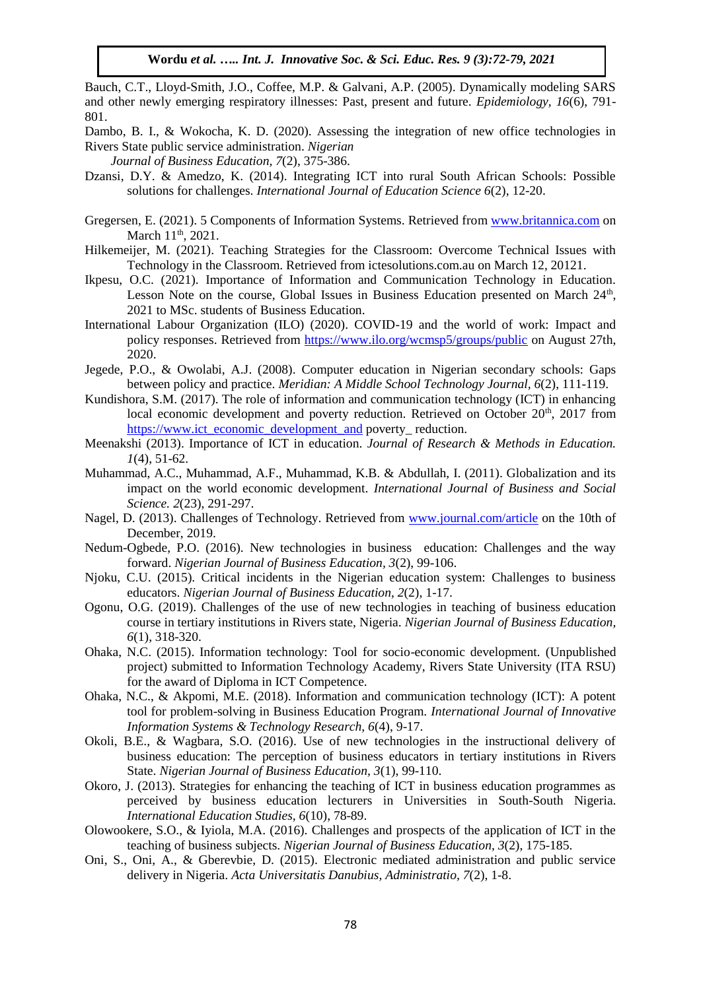Bauch, C.T., Lloyd-Smith, J.O., Coffee, M.P. & Galvani, A.P. (2005). Dynamically modeling SARS and other newly emerging respiratory illnesses: Past, present and future. *Epidemiology, 16*(6), 791- 801.

Dambo, B. I., & Wokocha, K. D. (2020). Assessing the integration of new office technologies in Rivers State public service administration. *Nigerian* 

 *Journal of Business Education, 7*(2), 375-386.

- Dzansi, D.Y. & Amedzo, K. (2014). Integrating ICT into rural South African Schools: Possible solutions for challenges. *International Journal of Education Science 6*(2), 12-20.
- Gregersen, E. (2021). 5 Components of Information Systems. Retrieved from [www.britannica.com](http://www.britannica.com/) on March 11<sup>th</sup>, 2021.
- Hilkemeijer, M. (2021). Teaching Strategies for the Classroom: Overcome Technical Issues with Technology in the Classroom. Retrieved from ictesolutions.com.au on March 12, 20121.
- Ikpesu, O.C. (2021). Importance of Information and Communication Technology in Education. Lesson Note on the course, Global Issues in Business Education presented on March 24<sup>th</sup>, 2021 to MSc. students of Business Education.
- International Labour Organization (ILO) (2020). COVID-19 and the world of work: Impact and policy responses. Retrieved from<https://www.ilo.org/wcmsp5/groups/public> on August 27th, 2020.
- Jegede, P.O., & Owolabi, A.J. (2008). Computer education in Nigerian secondary schools: Gaps between policy and practice. *Meridian: A Middle School Technology Journal, 6*(2), 111-119.
- Kundishora, S.M. (2017). The role of information and communication technology (ICT) in enhancing local economic development and poverty reduction. Retrieved on October  $20<sup>th</sup>$ , 2017 from [https://www.ict\\_economic\\_development\\_and](https://www.ict_economic_development_and/) poverty\_ reduction.
- Meenakshi (2013). Importance of ICT in education. *Journal of Research & Methods in Education. 1*(4), 51-62.
- Muhammad, A.C., Muhammad, A.F., Muhammad, K.B. & Abdullah, I. (2011). Globalization and its impact on the world economic development. *International Journal of Business and Social Science. 2*(23), 291-297.
- Nagel, D. (2013). Challenges of Technology. Retrieved from [www.journal.com/article](http://www.journal.com/article) on the 10th of December, 2019.
- Nedum-Ogbede, P.O. (2016). New technologies in business education: Challenges and the way forward. *Nigerian Journal of Business Education, 3*(2), 99-106.
- Njoku, C.U. (2015). Critical incidents in the Nigerian education system: Challenges to business educators. *Nigerian Journal of Business Education, 2*(2), 1-17.
- Ogonu, O.G. (2019). Challenges of the use of new technologies in teaching of business education course in tertiary institutions in Rivers state, Nigeria. *Nigerian Journal of Business Education, 6*(1), 318-320.
- Ohaka, N.C. (2015). Information technology: Tool for socio-economic development*.* (Unpublished project) submitted to Information Technology Academy, Rivers State University (ITA RSU) for the award of Diploma in ICT Competence.
- Ohaka, N.C., & Akpomi, M.E. (2018). Information and communication technology (ICT): A potent tool for problem-solving in Business Education Program. *International Journal of Innovative Information Systems & Technology Research, 6*(4), 9-17.
- Okoli, B.E., & Wagbara, S.O. (2016). Use of new technologies in the instructional delivery of business education: The perception of business educators in tertiary institutions in Rivers State. *Nigerian Journal of Business Education, 3*(1), 99-110.
- Okoro, J. (2013). Strategies for enhancing the teaching of ICT in business education programmes as perceived by business education lecturers in Universities in South-South Nigeria. *International Education Studies, 6*(10), 78-89.
- Olowookere, S.O., & Iyiola, M.A. (2016). Challenges and prospects of the application of ICT in the teaching of business subjects. *Nigerian Journal of Business Education, 3*(2), 175-185.
- Oni, S., Oni, A., & Gberevbie, D. (2015). Electronic mediated administration and public service delivery in Nigeria. *Acta Universitatis Danubius, Administratio, 7*(2), 1-8.